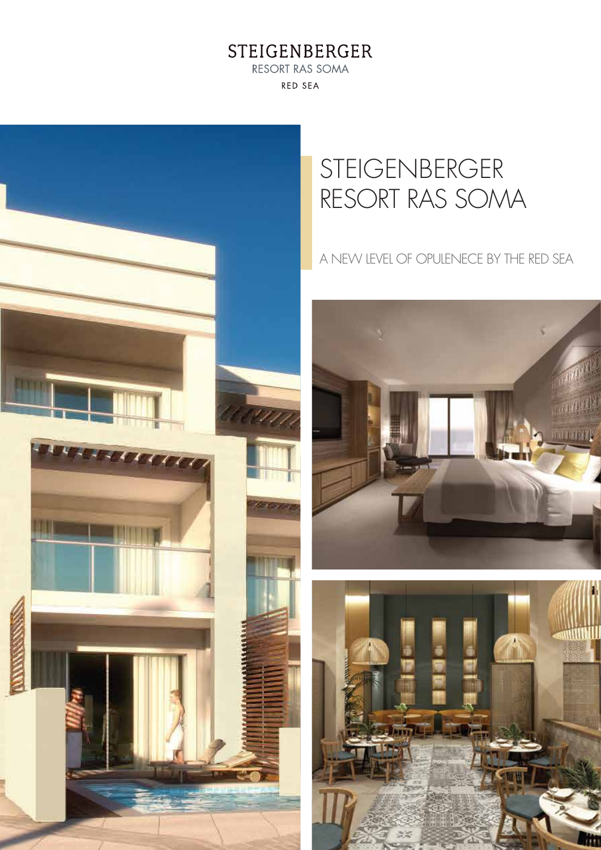STEIGENBERGER RESORT RAS SOMA **RED SEA** 



# STEIGENBERGER RESORT RAS SOMA

## A NEW LEVEL OF OPULENECE BY THE RED SEA



TH.